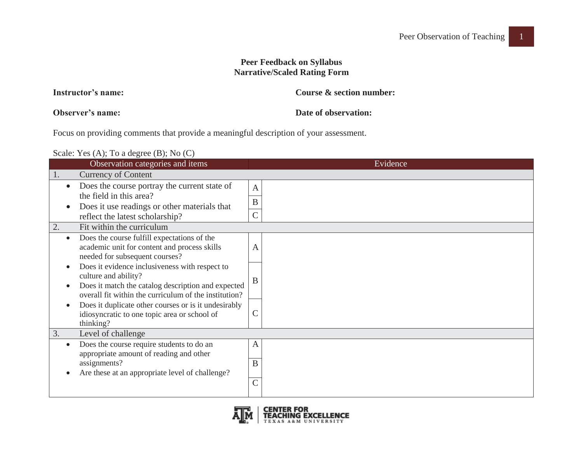## **Peer Feedback on Syllabus Narrative/Scaled Rating Form**

| Instructor's name: | Course & section number: |
|--------------------|--------------------------|
|                    |                          |

**Observer's name:**

**Date of observation:** 

Focus on providing comments that provide a meaningful description of your assessment.

Scale: Yes (A); To a degree (B); No (C)

|           | Observation categories and items                                                                                                                                                      | Evidence                            |
|-----------|---------------------------------------------------------------------------------------------------------------------------------------------------------------------------------------|-------------------------------------|
|           | <b>Currency of Content</b>                                                                                                                                                            |                                     |
|           | Does the course portray the current state of<br>the field in this area?<br>Does it use readings or other materials that<br>reflect the latest scholarship?                            | $\mathbf{A}$<br>B<br>$\overline{C}$ |
| 2.        | Fit within the curriculum                                                                                                                                                             |                                     |
| $\bullet$ | Does the course fulfill expectations of the<br>academic unit for content and process skills<br>needed for subsequent courses?                                                         | Α                                   |
|           | Does it evidence inclusiveness with respect to<br>culture and ability?<br>Does it match the catalog description and expected<br>overall fit within the curriculum of the institution? | B                                   |
|           | Does it duplicate other courses or is it undesirably<br>idiosyncratic to one topic area or school of<br>thinking?                                                                     | $\mathcal C$                        |
| 3.        | Level of challenge                                                                                                                                                                    |                                     |
|           | Does the course require students to do an<br>appropriate amount of reading and other<br>assignments?                                                                                  | $\mathbf{A}$<br>B                   |
|           | Are these at an appropriate level of challenge?                                                                                                                                       | $\overline{C}$                      |